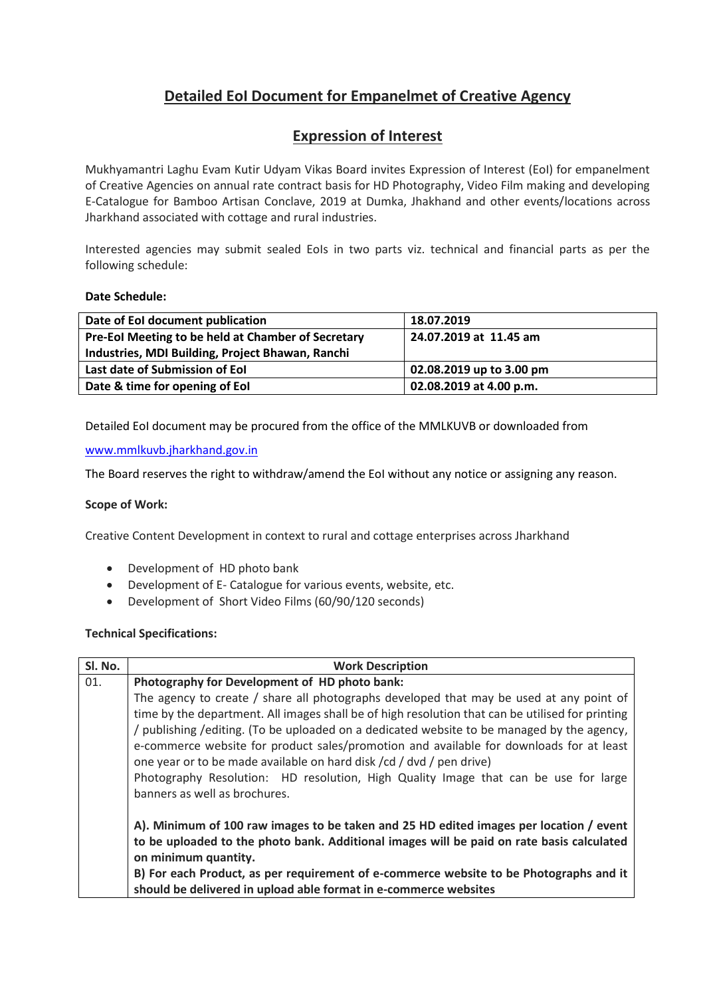# **Detailed EoI Document for Empanelmet of Creative Agency**

# **Expression of Interest**

Mukhyamantri Laghu Evam Kutir Udyam Vikas Board invites Expression of Interest (EoI) for empanelment of Creative Agencies on annual rate contract basis for HD Photography, Video Film making and developing E-Catalogue for Bamboo Artisan Conclave, 2019 at Dumka, Jhakhand and other events/locations across Jharkhand associated with cottage and rural industries.

Interested agencies may submit sealed EoIs in two parts viz. technical and financial parts as per the following schedule:

## **Date Schedule:**

| Date of EoI document publication                   | 18.07.2019               |
|----------------------------------------------------|--------------------------|
| Pre-EoI Meeting to be held at Chamber of Secretary | 24.07.2019 at 11.45 am   |
| Industries, MDI Building, Project Bhawan, Ranchi   |                          |
| Last date of Submission of Eol                     | 02.08.2019 up to 3.00 pm |
| Date & time for opening of Eol                     | 02.08.2019 at 4.00 p.m.  |
|                                                    |                          |

Detailed EoI document may be procured from the office of the MMLKUVB or downloaded from

## [www.mmlkuvb.jharkhand.gov.in](http://www.mmlkuvb.jharkhand.gov.in/)

The Board reserves the right to withdraw/amend the EoI without any notice or assigning any reason.

## **Scope of Work:**

Creative Content Development in context to rural and cottage enterprises across Jharkhand

- Development of HD photo bank
- Development of E- Catalogue for various events, website, etc.
- Development of Short Video Films (60/90/120 seconds)

## **Technical Specifications:**

| Sl. No. | <b>Work Description</b>                                                                          |  |  |
|---------|--------------------------------------------------------------------------------------------------|--|--|
| 01.     | Photography for Development of HD photo bank:                                                    |  |  |
|         | The agency to create $/$ share all photographs developed that may be used at any point of        |  |  |
|         | time by the department. All images shall be of high resolution that can be utilised for printing |  |  |
|         | / publishing / editing. (To be uploaded on a dedicated website to be managed by the agency,      |  |  |
|         | e-commerce website for product sales/promotion and available for downloads for at least          |  |  |
|         | one year or to be made available on hard disk /cd / dvd / pen drive)                             |  |  |
|         | Photography Resolution: HD resolution, High Quality Image that can be use for large              |  |  |
|         | banners as well as brochures.                                                                    |  |  |
|         |                                                                                                  |  |  |
|         | A). Minimum of 100 raw images to be taken and 25 HD edited images per location / event           |  |  |
|         | to be uploaded to the photo bank. Additional images will be paid on rate basis calculated        |  |  |
|         | on minimum quantity.                                                                             |  |  |
|         | B) For each Product, as per requirement of e-commerce website to be Photographs and it           |  |  |
|         | should be delivered in upload able format in e-commerce websites                                 |  |  |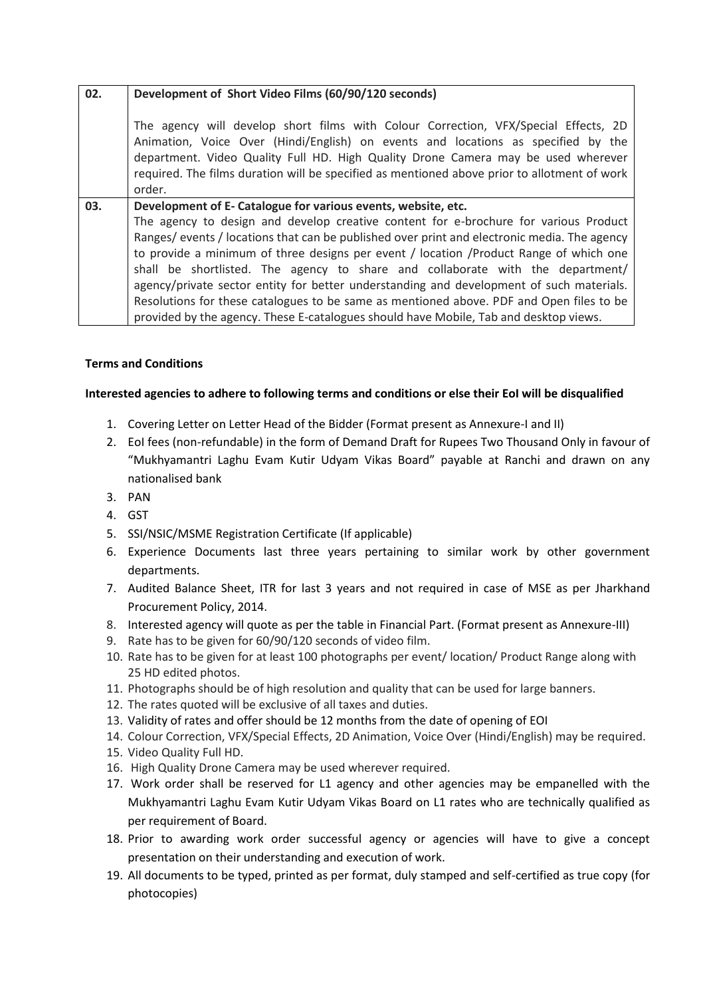| 02. | Development of Short Video Films (60/90/120 seconds)                                                                                                                                                                                                                                                                                                                    |  |  |  |
|-----|-------------------------------------------------------------------------------------------------------------------------------------------------------------------------------------------------------------------------------------------------------------------------------------------------------------------------------------------------------------------------|--|--|--|
|     | The agency will develop short films with Colour Correction, VFX/Special Effects, 2D<br>Animation, Voice Over (Hindi/English) on events and locations as specified by the<br>department. Video Quality Full HD. High Quality Drone Camera may be used wherever<br>required. The films duration will be specified as mentioned above prior to allotment of work<br>order. |  |  |  |
| 03. | Development of E- Catalogue for various events, website, etc.                                                                                                                                                                                                                                                                                                           |  |  |  |
|     | The agency to design and develop creative content for e-brochure for various Product                                                                                                                                                                                                                                                                                    |  |  |  |
|     | Ranges/events/locations that can be published over print and electronic media. The agency                                                                                                                                                                                                                                                                               |  |  |  |
|     | to provide a minimum of three designs per event / location / Product Range of which one                                                                                                                                                                                                                                                                                 |  |  |  |
|     | shall be shortlisted. The agency to share and collaborate with the department/                                                                                                                                                                                                                                                                                          |  |  |  |
|     | agency/private sector entity for better understanding and development of such materials.                                                                                                                                                                                                                                                                                |  |  |  |
|     | Resolutions for these catalogues to be same as mentioned above. PDF and Open files to be                                                                                                                                                                                                                                                                                |  |  |  |
|     | provided by the agency. These E-catalogues should have Mobile, Tab and desktop views.                                                                                                                                                                                                                                                                                   |  |  |  |

## **Terms and Conditions**

## **Interested agencies to adhere to following terms and conditions or else their EoI will be disqualified**

- 1. Covering Letter on Letter Head of the Bidder (Format present as Annexure-I and II)
- 2. EoI fees (non-refundable) in the form of Demand Draft for Rupees Two Thousand Only in favour of "Mukhyamantri Laghu Evam Kutir Udyam Vikas Board" payable at Ranchi and drawn on any nationalised bank
- 3. PAN
- 4. GST
- 5. SSI/NSIC/MSME Registration Certificate (If applicable)
- 6. Experience Documents last three years pertaining to similar work by other government departments.
- 7. Audited Balance Sheet, ITR for last 3 years and not required in case of MSE as per Jharkhand Procurement Policy, 2014.
- 8. Interested agency will quote as per the table in Financial Part. (Format present as Annexure-III)
- 9. Rate has to be given for 60/90/120 seconds of video film.
- 10. Rate has to be given for at least 100 photographs per event/ location/ Product Range along with 25 HD edited photos.
- 11. Photographs should be of high resolution and quality that can be used for large banners.
- 12. The rates quoted will be exclusive of all taxes and duties.
- 13. Validity of rates and offer should be 12 months from the date of opening of EOI
- 14. Colour Correction, VFX/Special Effects, 2D Animation, Voice Over (Hindi/English) may be required.
- 15. Video Quality Full HD.
- 16. High Quality Drone Camera may be used wherever required.
- 17. Work order shall be reserved for L1 agency and other agencies may be empanelled with the Mukhyamantri Laghu Evam Kutir Udyam Vikas Board on L1 rates who are technically qualified as per requirement of Board.
- 18. Prior to awarding work order successful agency or agencies will have to give a concept presentation on their understanding and execution of work.
- 19. All documents to be typed, printed as per format, duly stamped and self-certified as true copy (for photocopies)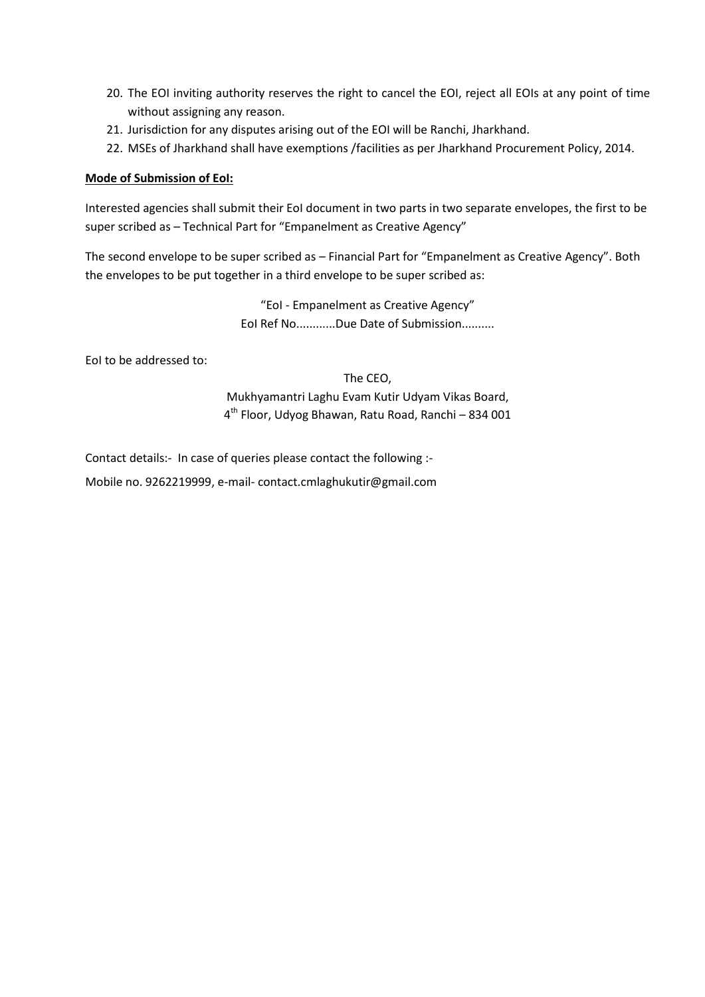- 20. The EOI inviting authority reserves the right to cancel the EOI, reject all EOIs at any point of time without assigning any reason.
- 21. Jurisdiction for any disputes arising out of the EOI will be Ranchi, Jharkhand.
- 22. MSEs of Jharkhand shall have exemptions /facilities as per Jharkhand Procurement Policy, 2014.

## **Mode of Submission of EoI:**

Interested agencies shall submit their EoI document in two parts in two separate envelopes, the first to be super scribed as – Technical Part for "Empanelment as Creative Agency"

The second envelope to be super scribed as – Financial Part for "Empanelment as Creative Agency". Both the envelopes to be put together in a third envelope to be super scribed as:

> "EoI - Empanelment as Creative Agency" EoI Ref No............Due Date of Submission..........

EoI to be addressed to:

The CEO, Mukhyamantri Laghu Evam Kutir Udyam Vikas Board, 4 th Floor, Udyog Bhawan, Ratu Road, Ranchi – 834 001

Contact details:- In case of queries please contact the following :-

Mobile no. 9262219999, e-mail- contact.cmlaghukutir@gmail.com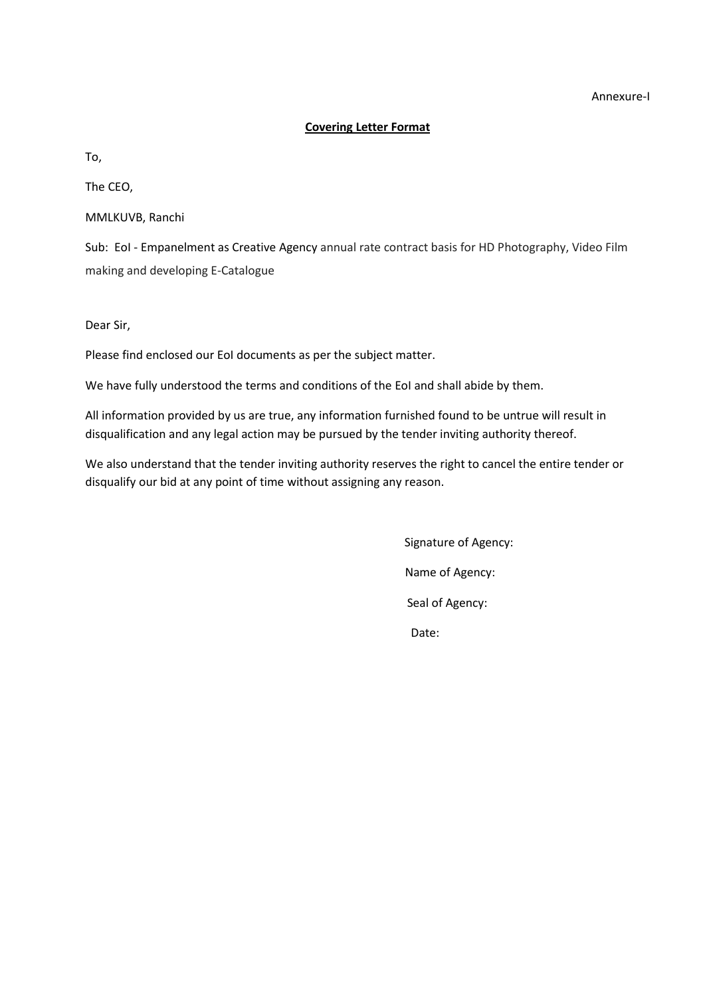#### Annexure-I

#### **Covering Letter Format**

To,

The CEO,

MMLKUVB, Ranchi

Sub: EoI - Empanelment as Creative Agency annual rate contract basis for HD Photography, Video Film making and developing E-Catalogue

Dear Sir,

Please find enclosed our EoI documents as per the subject matter.

We have fully understood the terms and conditions of the EoI and shall abide by them.

All information provided by us are true, any information furnished found to be untrue will result in disqualification and any legal action may be pursued by the tender inviting authority thereof.

We also understand that the tender inviting authority reserves the right to cancel the entire tender or disqualify our bid at any point of time without assigning any reason.

> Signature of Agency: Name of Agency: Seal of Agency: Date: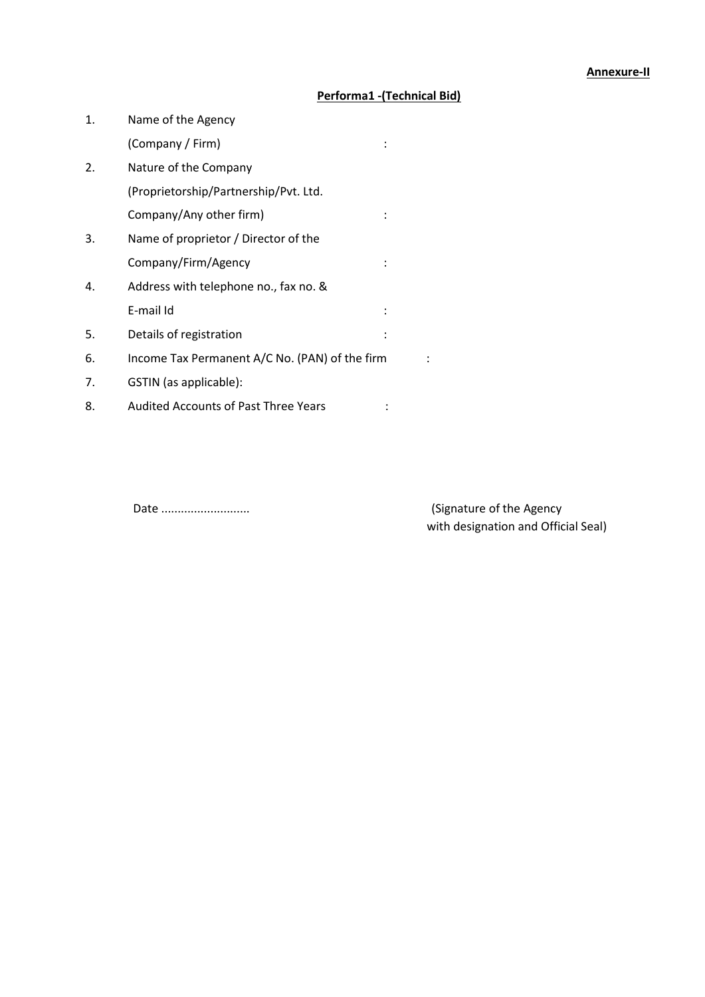## **Performa1 -(Technical Bid)**

| 1. | Name of the Agency                             |  |
|----|------------------------------------------------|--|
|    | (Company / Firm)                               |  |
| 2. | Nature of the Company                          |  |
|    | (Proprietorship/Partnership/Pvt. Ltd.          |  |
|    | Company/Any other firm)                        |  |
| 3. | Name of proprietor / Director of the           |  |
|    | Company/Firm/Agency                            |  |
| 4. | Address with telephone no., fax no. &          |  |
|    | E-mail Id                                      |  |
| 5. | Details of registration                        |  |
| 6. | Income Tax Permanent A/C No. (PAN) of the firm |  |
| 7. | GSTIN (as applicable):                         |  |
| 8. | <b>Audited Accounts of Past Three Years</b>    |  |

Date ........................... (Signature of the Agency with designation and Official Seal)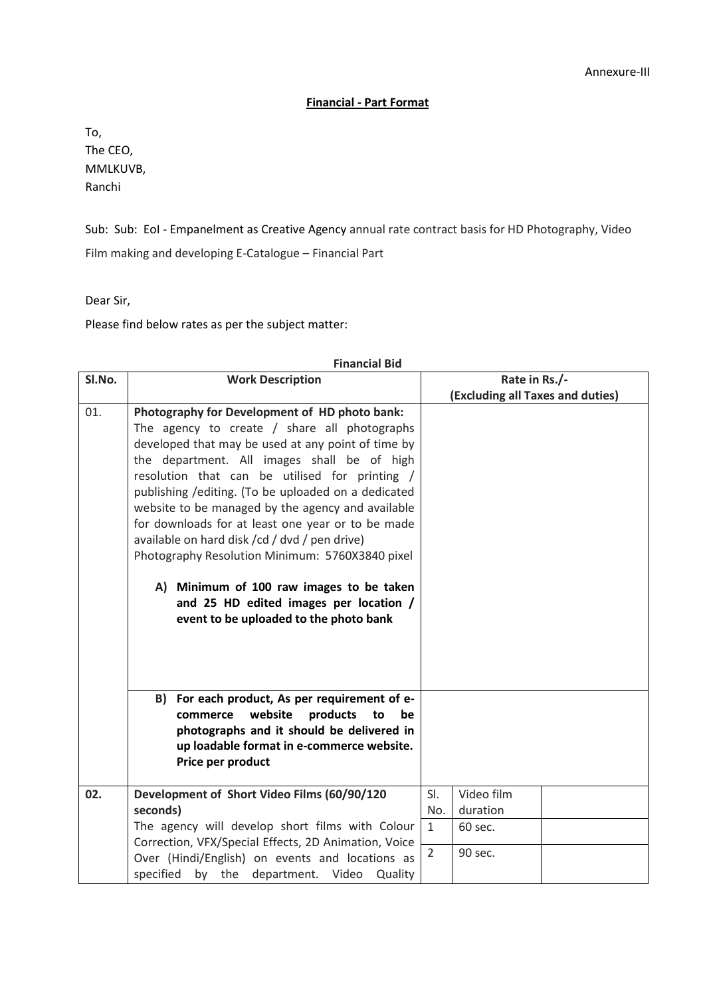## **Financial - Part Format**

To, The CEO, MMLKUVB, Ranchi

Sub: Sub: EoI - Empanelment as Creative Agency annual rate contract basis for HD Photography, Video Film making and developing E-Catalogue – Financial Part

Dear Sir,

Please find below rates as per the subject matter:

| SI.No. | <b>Work Description</b>                              |                | Rate in Rs./-                    |  |
|--------|------------------------------------------------------|----------------|----------------------------------|--|
|        |                                                      |                | (Excluding all Taxes and duties) |  |
| 01.    | Photography for Development of HD photo bank:        |                |                                  |  |
|        | The agency to create $/$ share all photographs       |                |                                  |  |
|        | developed that may be used at any point of time by   |                |                                  |  |
|        | the department. All images shall be of high          |                |                                  |  |
|        | resolution that can be utilised for printing /       |                |                                  |  |
|        | publishing / editing. (To be uploaded on a dedicated |                |                                  |  |
|        | website to be managed by the agency and available    |                |                                  |  |
|        | for downloads for at least one year or to be made    |                |                                  |  |
|        | available on hard disk / cd / dvd / pen drive)       |                |                                  |  |
|        | Photography Resolution Minimum: 5760X3840 pixel      |                |                                  |  |
|        |                                                      |                |                                  |  |
|        | A) Minimum of 100 raw images to be taken             |                |                                  |  |
|        | and 25 HD edited images per location /               |                |                                  |  |
|        | event to be uploaded to the photo bank               |                |                                  |  |
|        |                                                      |                |                                  |  |
|        |                                                      |                |                                  |  |
|        |                                                      |                |                                  |  |
|        | B) For each product, As per requirement of e-        |                |                                  |  |
|        | products<br>commerce<br>website<br>to<br>be          |                |                                  |  |
|        | photographs and it should be delivered in            |                |                                  |  |
|        | up loadable format in e-commerce website.            |                |                                  |  |
|        | Price per product                                    |                |                                  |  |
|        |                                                      |                |                                  |  |
| 02.    | Development of Short Video Films (60/90/120          | SI.            | Video film                       |  |
|        | seconds)                                             | No.            | duration                         |  |
|        | The agency will develop short films with Colour      | $\mathbf{1}$   | 60 sec.                          |  |
|        | Correction, VFX/Special Effects, 2D Animation, Voice |                |                                  |  |
|        | Over (Hindi/English) on events and locations as      | $\overline{2}$ | 90 sec.                          |  |
|        | specified<br>by the department. Video Quality        |                |                                  |  |

## **Financial Bid**